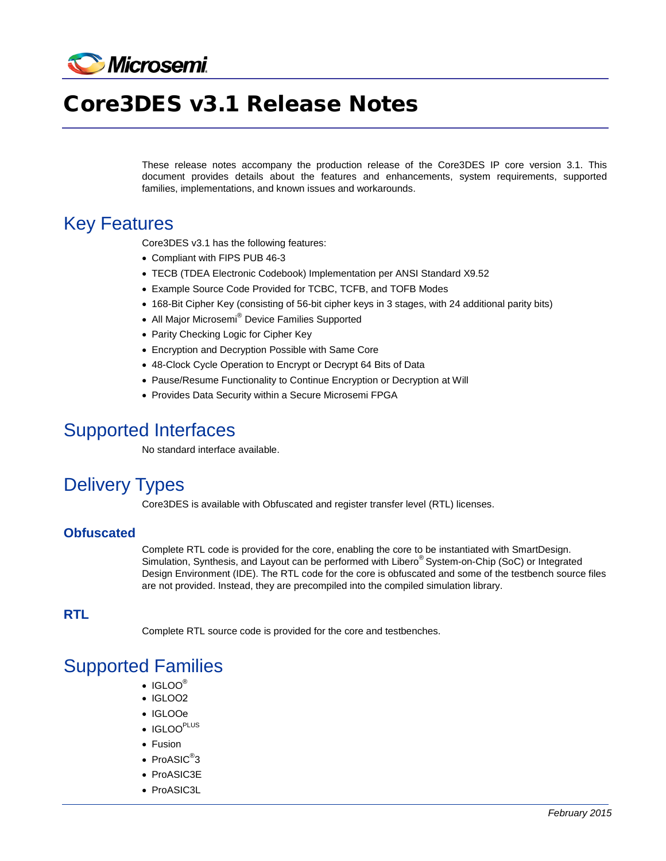

# Core3DES v3.1 Release Notes

These release notes accompany the production release of the Core3DES IP core version 3.1. This document provides details about the features and enhancements, system requirements, supported families, implementations, and known issues and workarounds.

#### Key Features

Core3DES v3.1 has the following features:

- Compliant with FIPS PUB 46-3
- TECB (TDEA Electronic Codebook) Implementation per ANSI Standard X9.52
- Example Source Code Provided for TCBC, TCFB, and TOFB Modes
- 168-Bit Cipher Key (consisting of 56-bit cipher keys in 3 stages, with 24 additional parity bits)
- All Major Microsemi<sup>®</sup> Device Families Supported
- Parity Checking Logic for Cipher Key
- Encryption and Decryption Possible with Same Core
- 48-Clock Cycle Operation to Encrypt or Decrypt 64 Bits of Data
- Pause/Resume Functionality to Continue Encryption or Decryption at Will
- Provides Data Security within a Secure Microsemi FPGA

#### Supported Interfaces

No standard interface available.

### Delivery Types

Core3DES is available with Obfuscated and register transfer level (RTL) licenses.

#### **Obfuscated**

Complete RTL code is provided for the core, enabling the core to be instantiated with SmartDesign. Simulation, Synthesis, and Layout can be performed with Libero® System-on-Chip (SoC) or Integrated Design Environment (IDE). The RTL code for the core is obfuscated and some of the testbench source files are not provided. Instead, they are precompiled into the compiled simulation library.

#### **RTL**

Complete RTL source code is provided for the core and testbenches.

#### Supported Families

- IGLOO<sup>®</sup>
- IGLOO2
- IGLOOe
- IGLOO<sup>PLUS</sup>
- Fusion
- $\bullet$  ProASIC $^\circledR$ 3
- ProASIC3E
- ProASIC3L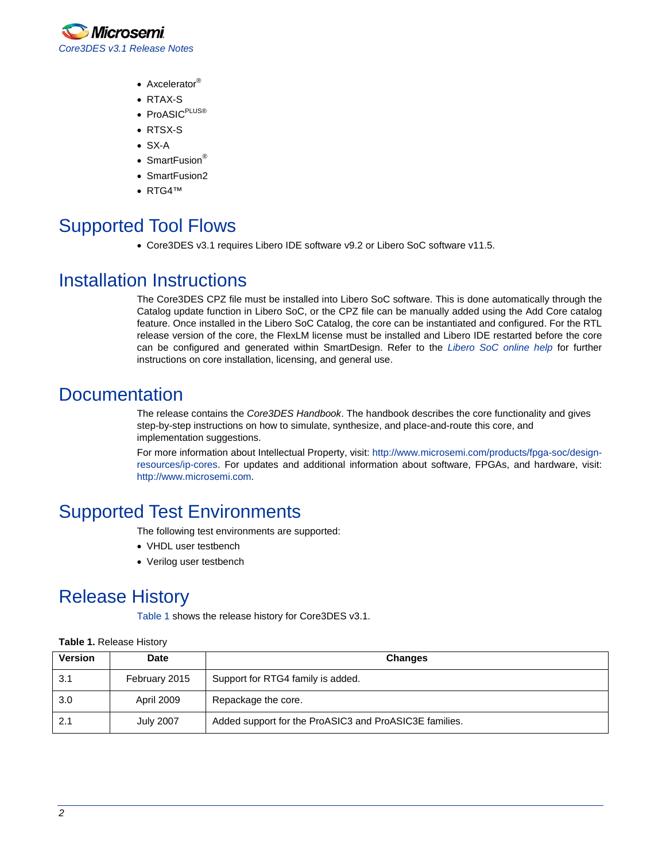

- Axcelerator<sup>®</sup>
- RTAX-S
- ProASIC<sup>PLUS®</sup>
- RTSX-S
- SX-A
- SmartFusion<sup>®</sup>
- SmartFusion2
- RTG4™

# Supported Tool Flows

• Core3DES v3.1 requires Libero IDE software v9.2 or Libero SoC software v11.5.

#### Installation Instructions

The Core3DES CPZ file must be installed into Libero SoC software. This is done automatically through the Catalog update function in Libero SoC, or the CPZ file can be manually added using the Add Core catalog feature. Once installed in the Libero SoC Catalog, the core can be instantiated and configured. For the RTL release version of the core, the FlexLM license must be installed and Libero IDE restarted before the core can be configured and generated within SmartDesign. Refer to the *[Libero SoC online help](http://www.microsemi.com/index.php?option=com_docman&task=doc_download&gid=132044)* for further instructions on core installation, licensing, and general use.

#### **Documentation**

The release contains the *Core3DES Handbook*. The handbook describes the core functionality and gives step-by-step instructions on how to simulate, synthesize, and place-and-route this core, and implementation suggestions.

For more information about Intellectual Property, visit: [http://www.microsemi.com/products/fpga-soc/design](http://www.microsemi.com/products/fpga-soc/design-resources/ip-cores)[resources/ip-cores.](http://www.microsemi.com/products/fpga-soc/design-resources/ip-cores) For updates and additional information about software, FPGAs, and hardware, visit: [http://www.microsemi.com.](http://www.microsemi.com/)

### Supported Test Environments

The following test environments are supported:

- VHDL user testbench
- Verilog user testbench

### Release History

[Table 1](#page-1-0) shows the release history for Core3DES v3.1.

| <b>Version</b> | <b>Date</b>      | <b>Changes</b>                                         |
|----------------|------------------|--------------------------------------------------------|
| 3.1            | February 2015    | Support for RTG4 family is added.                      |
| 3.0            | April 2009       | Repackage the core.                                    |
| 2.1            | <b>July 2007</b> | Added support for the ProASIC3 and ProASIC3E families. |

#### <span id="page-1-0"></span>**Table 1.** Release History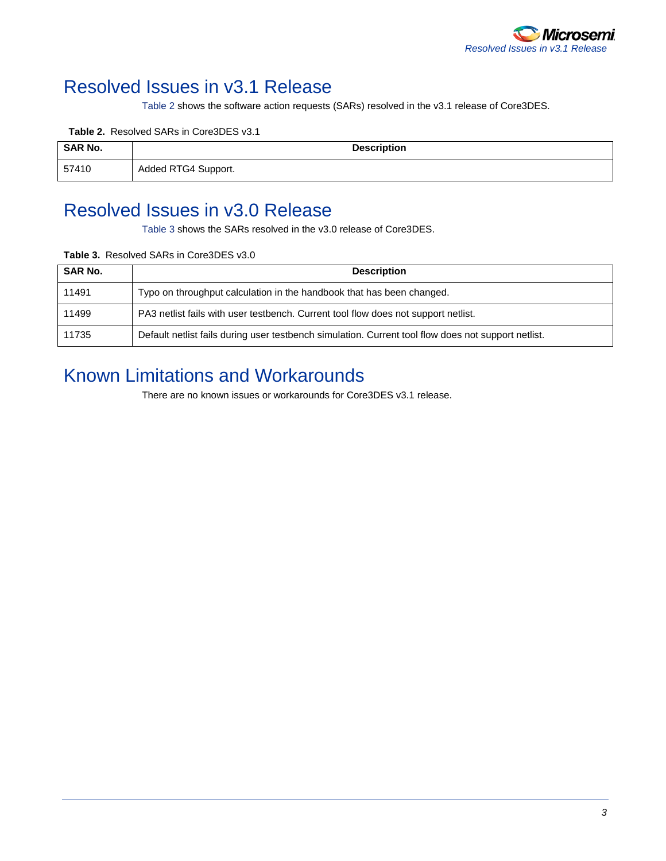

# Resolved Issues in v3.1 Release

<span id="page-2-0"></span>[Table 2](#page-2-0) shows the software action requests (SARs) resolved in the v3.1 release of Core3DES.

#### **Table 2.** Resolved SARs in Core3DES v3.1

| <b>SAR No.</b> | <b>Description</b>  |
|----------------|---------------------|
| 57410          | Added RTG4 Support. |

#### Resolved Issues in v3.0 Release

<span id="page-2-1"></span>[Table 3](#page-2-1) shows the SARs resolved in the v3.0 release of Core3DES.

#### **Table 3.** Resolved SARs in Core3DES v3.0

| <b>SAR No.</b> | <b>Description</b>                                                                                  |
|----------------|-----------------------------------------------------------------------------------------------------|
| 11491          | Typo on throughput calculation in the handbook that has been changed.                               |
| 11499          | PA3 netlist fails with user testbench. Current tool flow does not support netlist.                  |
| 11735          | Default netlist fails during user testbench simulation. Current tool flow does not support netlist. |

### Known Limitations and Workarounds

There are no known issues or workarounds for Core3DES v3.1 release.